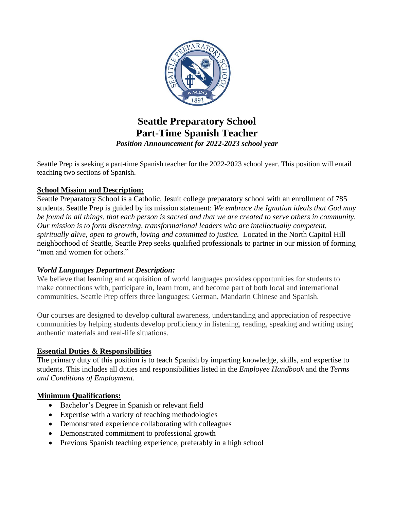

# **Seattle Preparatory School Part-Time Spanish Teacher** *Position Announcement for 2022-2023 school year*

Seattle Prep is seeking a part-time Spanish teacher for the 2022-2023 school year. This position will entail teaching two sections of Spanish.

#### **School Mission and Description:**

Seattle Preparatory School is a Catholic, Jesuit college preparatory school with an enrollment of 785 students. Seattle Prep is guided by its mission statement: *We embrace the Ignatian ideals that God may be found in all things, that each person is sacred and that we are created to serve others in community. Our mission is to form discerning, transformational leaders who are intellectually competent, spiritually alive, open to growth, loving and committed to justice.* Located in the North Capitol Hill neighborhood of Seattle, Seattle Prep seeks qualified professionals to partner in our mission of forming "men and women for others."

#### *World Languages Department Description:*

We believe that learning and acquisition of world languages provides opportunities for students to make connections with, participate in, learn from, and become part of both local and international communities. Seattle Prep offers three languages: German, Mandarin Chinese and Spanish.

Our courses are designed to develop cultural awareness, understanding and appreciation of respective communities by helping students develop proficiency in listening, reading, speaking and writing using authentic materials and real-life situations.

# **Essential Duties & Responsibilities**

The primary duty of this position is to teach Spanish by imparting knowledge, skills, and expertise to students. This includes all duties and responsibilities listed in the *Employee Handbook* and the *Terms and Conditions of Employment*.

# **Minimum Qualifications:**

- Bachelor's Degree in Spanish or relevant field
- Expertise with a variety of teaching methodologies
- Demonstrated experience collaborating with colleagues
- Demonstrated commitment to professional growth
- Previous Spanish teaching experience, preferably in a high school